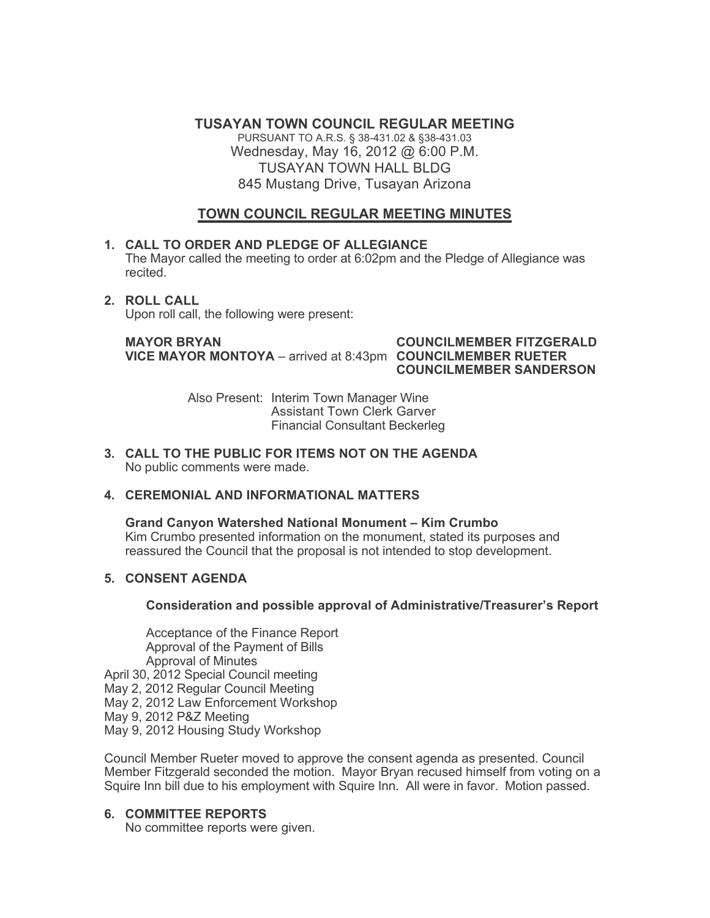**TUSAYAN TOWN COUNCIL REGULAR MEETING**

PURSUANT TO A.R.S. § 38-431.02 & §38-431.03 Wednesday, May 16, 2012 @ 6:00 P.M. TUSAYAN TOWN HALL BLDG 845 Mustang Drive, Tusayan Arizona

# **TOWN COUNCIL REGULAR MEETING MINUTES**

## **1. CALL TO ORDER AND PLEDGE OF ALLEGIANCE**

The Mayor called the meeting to order at 6:02pm and the Pledge of Allegiance was recited.

**2. ROLL CALL**

Upon roll call, the following were present:

**MAYOR BRYAN COUNCILMEMBER FITZGERALD VICE MAYOR MONTOYA** – arrived at 8:43pm **COUNCILMEMBER RUETER**

**COUNCILMEMBER SANDERSON**

Also Present: Interim Town Manager Wine Assistant Town Clerk Garver Financial Consultant Beckerleg

**3. CALL TO THE PUBLIC FOR ITEMS NOT ON THE AGENDA**  No public comments were made.

## **4. CEREMONIAL AND INFORMATIONAL MATTERS**

**Grand Canyon Watershed National Monument – Kim Crumbo** Kim Crumbo presented information on the monument, stated its purposes and reassured the Council that the proposal is not intended to stop development.

## **5. CONSENT AGENDA**

## **Consideration and possible approval of Administrative/Treasurer's Report**

Acceptance of the Finance Report Approval of the Payment of Bills Approval of Minutes April 30, 2012 Special Council meeting

May 2, 2012 Regular Council Meeting

May 2, 2012 Law Enforcement Workshop

May 9, 2012 P&Z Meeting

May 9, 2012 Housing Study Workshop

Council Member Rueter moved to approve the consent agenda as presented. Council Member Fitzgerald seconded the motion. Mayor Bryan recused himself from voting on a Squire Inn bill due to his employment with Squire Inn. All were in favor. Motion passed.

# **6. COMMITTEE REPORTS**

No committee reports were given.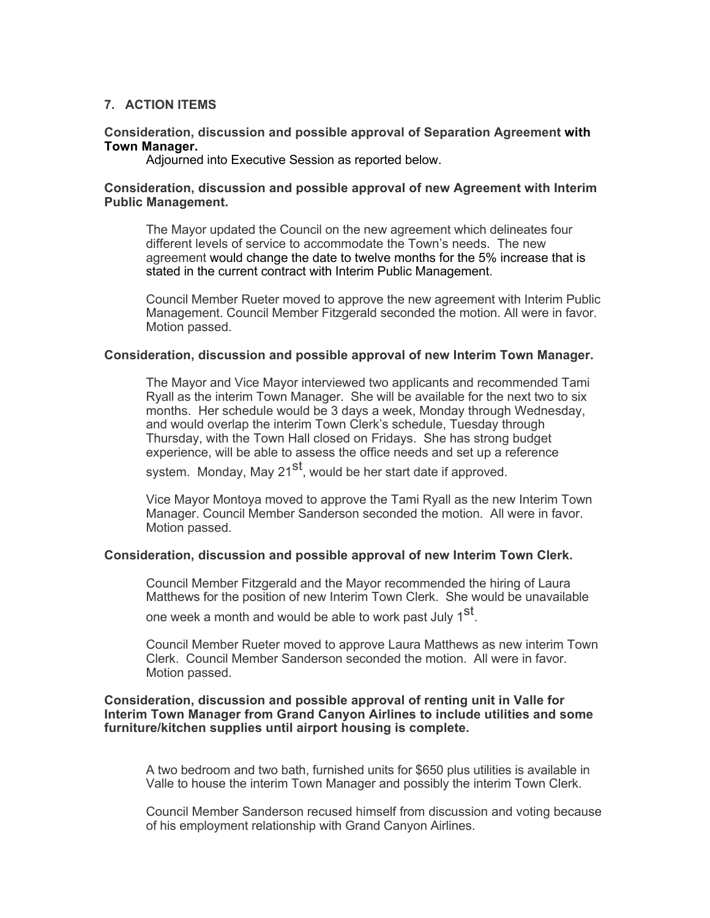### **7. ACTION ITEMS**

#### **Consideration, discussion and possible approval of Separation Agreement with Town Manager.**

Adjourned into Executive Session as reported below.

#### **Consideration, discussion and possible approval of new Agreement with Interim Public Management.**

The Mayor updated the Council on the new agreement which delineates four different levels of service to accommodate the Town's needs. The new agreement would change the date to twelve months for the 5% increase that is stated in the current contract with Interim Public Management.

Council Member Rueter moved to approve the new agreement with Interim Public Management. Council Member Fitzgerald seconded the motion. All were in favor. Motion passed.

#### **Consideration, discussion and possible approval of new Interim Town Manager.**

The Mayor and Vice Mayor interviewed two applicants and recommended Tami Ryall as the interim Town Manager. She will be available for the next two to six months. Her schedule would be 3 days a week, Monday through Wednesday, and would overlap the interim Town Clerk's schedule, Tuesday through Thursday, with the Town Hall closed on Fridays. She has strong budget experience, will be able to assess the office needs and set up a reference

system. Monday, May 21<sup>st</sup>, would be her start date if approved.

Vice Mayor Montoya moved to approve the Tami Ryall as the new Interim Town Manager. Council Member Sanderson seconded the motion. All were in favor. Motion passed.

#### **Consideration, discussion and possible approval of new Interim Town Clerk.**

Council Member Fitzgerald and the Mayor recommended the hiring of Laura Matthews for the position of new Interim Town Clerk. She would be unavailable

one week a month and would be able to work past July 1<sup>st</sup>.

Council Member Rueter moved to approve Laura Matthews as new interim Town Clerk. Council Member Sanderson seconded the motion. All were in favor. Motion passed.

#### **Consideration, discussion and possible approval of renting unit in Valle for Interim Town Manager from Grand Canyon Airlines to include utilities and some furniture/kitchen supplies until airport housing is complete.**

A two bedroom and two bath, furnished units for \$650 plus utilities is available in Valle to house the interim Town Manager and possibly the interim Town Clerk.

Council Member Sanderson recused himself from discussion and voting because of his employment relationship with Grand Canyon Airlines.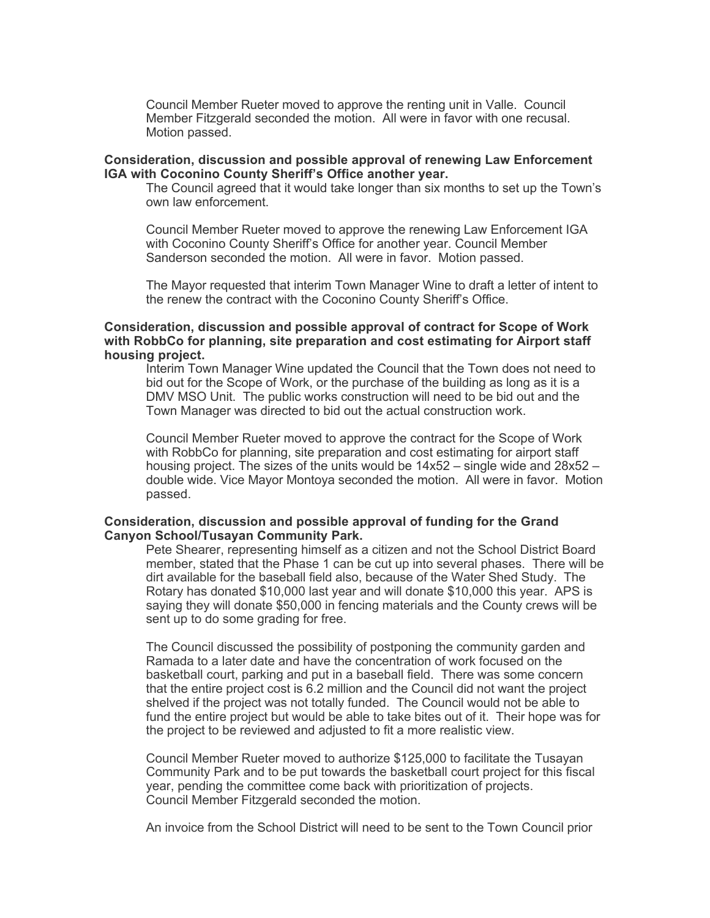Council Member Rueter moved to approve the renting unit in Valle. Council Member Fitzgerald seconded the motion. All were in favor with one recusal. Motion passed.

#### **Consideration, discussion and possible approval of renewing Law Enforcement IGA with Coconino County Sheriff's Office another year.**

The Council agreed that it would take longer than six months to set up the Town's own law enforcement.

Council Member Rueter moved to approve the renewing Law Enforcement IGA with Coconino County Sheriff's Office for another year. Council Member Sanderson seconded the motion. All were in favor. Motion passed.

The Mayor requested that interim Town Manager Wine to draft a letter of intent to the renew the contract with the Coconino County Sheriff's Office.

#### **Consideration, discussion and possible approval of contract for Scope of Work with RobbCo for planning, site preparation and cost estimating for Airport staff housing project.**

Interim Town Manager Wine updated the Council that the Town does not need to bid out for the Scope of Work, or the purchase of the building as long as it is a DMV MSO Unit. The public works construction will need to be bid out and the Town Manager was directed to bid out the actual construction work.

Council Member Rueter moved to approve the contract for the Scope of Work with RobbCo for planning, site preparation and cost estimating for airport staff housing project. The sizes of the units would be 14x52 – single wide and 28x52 – double wide. Vice Mayor Montoya seconded the motion. All were in favor. Motion passed.

#### **Consideration, discussion and possible approval of funding for the Grand Canyon School/Tusayan Community Park.**

Pete Shearer, representing himself as a citizen and not the School District Board member, stated that the Phase 1 can be cut up into several phases. There will be dirt available for the baseball field also, because of the Water Shed Study. The Rotary has donated \$10,000 last year and will donate \$10,000 this year. APS is saying they will donate \$50,000 in fencing materials and the County crews will be sent up to do some grading for free.

The Council discussed the possibility of postponing the community garden and Ramada to a later date and have the concentration of work focused on the basketball court, parking and put in a baseball field. There was some concern that the entire project cost is 6.2 million and the Council did not want the project shelved if the project was not totally funded. The Council would not be able to fund the entire project but would be able to take bites out of it. Their hope was for the project to be reviewed and adjusted to fit a more realistic view.

Council Member Rueter moved to authorize \$125,000 to facilitate the Tusayan Community Park and to be put towards the basketball court project for this fiscal year, pending the committee come back with prioritization of projects. Council Member Fitzgerald seconded the motion.

An invoice from the School District will need to be sent to the Town Council prior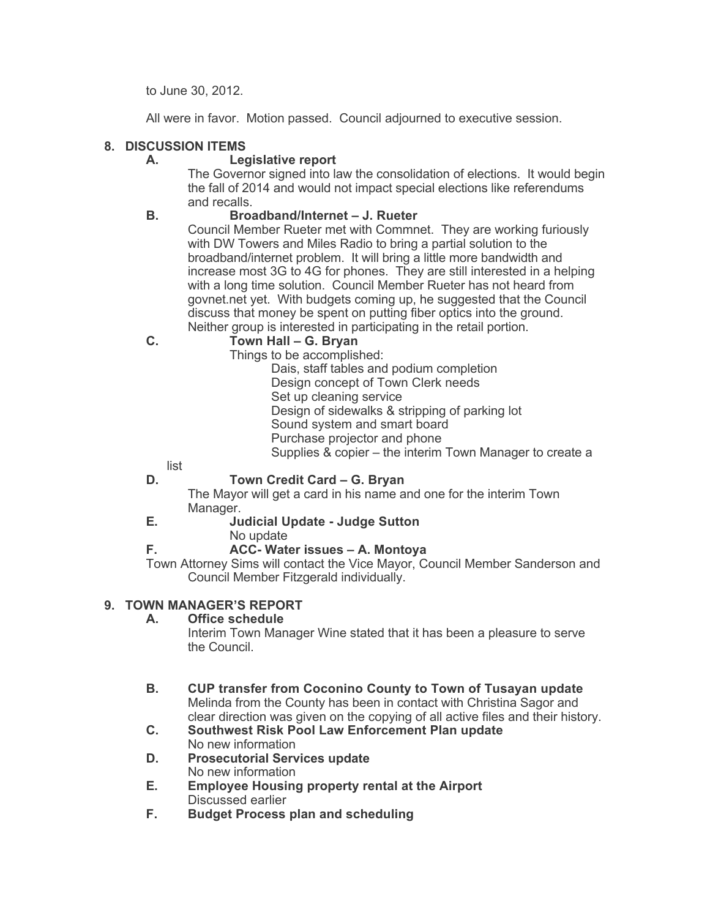to June 30, 2012.

All were in favor. Motion passed. Council adjourned to executive session.

# **8. DISCUSSION ITEMS**

## **A. Legislative report**

The Governor signed into law the consolidation of elections. It would begin the fall of 2014 and would not impact special elections like referendums and recalls.

## **B. Broadband/Internet – J. Rueter**

Council Member Rueter met with Commnet. They are working furiously with DW Towers and Miles Radio to bring a partial solution to the broadband/internet problem. It will bring a little more bandwidth and increase most 3G to 4G for phones. They are still interested in a helping with a long time solution. Council Member Rueter has not heard from govnet.net yet. With budgets coming up, he suggested that the Council discuss that money be spent on putting fiber optics into the ground. Neither group is interested in participating in the retail portion.

# **C. Town Hall – G. Bryan**

Things to be accomplished:

Dais, staff tables and podium completion Design concept of Town Clerk needs Set up cleaning service Design of sidewalks & stripping of parking lot Sound system and smart board Purchase projector and phone Supplies & copier – the interim Town Manager to create a

list

# **D. Town Credit Card – G. Bryan**

The Mayor will get a card in his name and one for the interim Town Manager.

# **E. Judicial Update - Judge Sutton**

No update

# **F. ACC- Water issues – A. Montoya**

Town Attorney Sims will contact the Vice Mayor, Council Member Sanderson and Council Member Fitzgerald individually.

## **9. TOWN MANAGER'S REPORT**

# **A. Office schedule**

Interim Town Manager Wine stated that it has been a pleasure to serve the Council.

#### **B. CUP transfer from Coconino County to Town of Tusayan update** Melinda from the County has been in contact with Christina Sagor and clear direction was given on the copying of all active files and their history.

- **C. Southwest Risk Pool Law Enforcement Plan update** No new information
- **D. Prosecutorial Services update** No new information
- **E. Employee Housing property rental at the Airport** Discussed earlier
- **F. Budget Process plan and scheduling**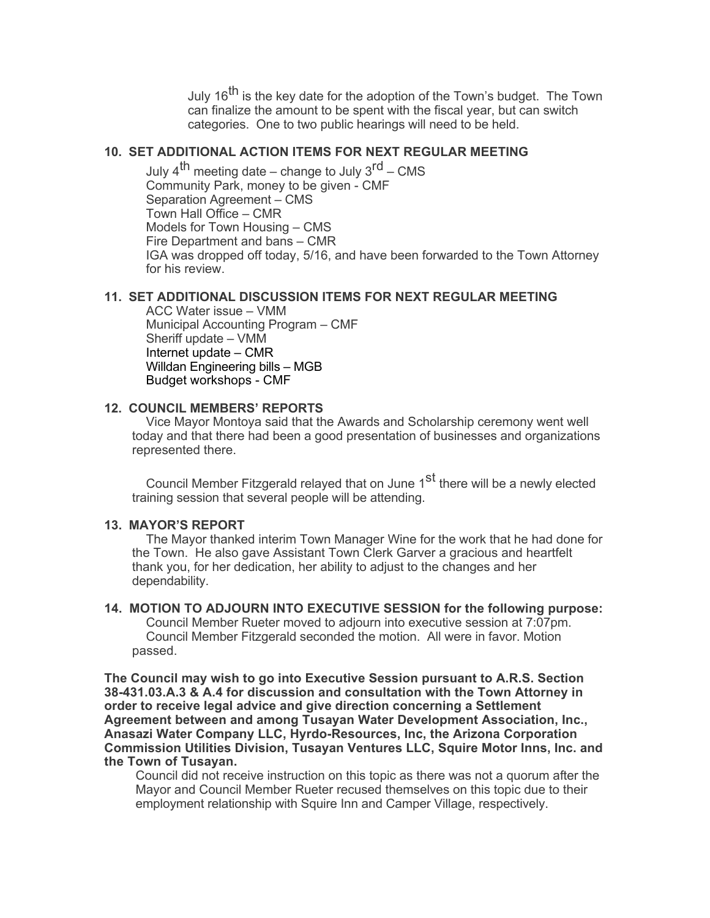July 16<sup>th</sup> is the key date for the adoption of the Town's budget. The Town can finalize the amount to be spent with the fiscal year, but can switch categories. One to two public hearings will need to be held.

## **10. SET ADDITIONAL ACTION ITEMS FOR NEXT REGULAR MEETING**

July  $4^{th}$  meeting date – change to July  $3^{rd}$  – CMS Community Park, money to be given - CMF Separation Agreement – CMS Town Hall Office – CMR Models for Town Housing – CMS Fire Department and bans – CMR IGA was dropped off today, 5/16, and have been forwarded to the Town Attorney for his review.

#### **11. SET ADDITIONAL DISCUSSION ITEMS FOR NEXT REGULAR MEETING**

ACC Water issue – VMM Municipal Accounting Program – CMF Sheriff update – VMM Internet update – CMR Willdan Engineering bills – MGB Budget workshops - CMF

### **12. COUNCIL MEMBERS' REPORTS**

Vice Mayor Montoya said that the Awards and Scholarship ceremony went well today and that there had been a good presentation of businesses and organizations represented there.

Council Member Fitzgerald relayed that on June 1<sup>st</sup> there will be a newly elected training session that several people will be attending.

#### **13. MAYOR'S REPORT**

The Mayor thanked interim Town Manager Wine for the work that he had done for the Town. He also gave Assistant Town Clerk Garver a gracious and heartfelt thank you, for her dedication, her ability to adjust to the changes and her dependability.

**14. MOTION TO ADJOURN INTO EXECUTIVE SESSION for the following purpose:** Council Member Rueter moved to adjourn into executive session at 7:07pm. Council Member Fitzgerald seconded the motion. All were in favor. Motion passed.

**The Council may wish to go into Executive Session pursuant to A.R.S. Section 38-431.03.A.3 & A.4 for discussion and consultation with the Town Attorney in order to receive legal advice and give direction concerning a Settlement Agreement between and among Tusayan Water Development Association, Inc., Anasazi Water Company LLC, Hyrdo-Resources, Inc, the Arizona Corporation Commission Utilities Division, Tusayan Ventures LLC, Squire Motor Inns, Inc. and the Town of Tusayan.** 

Council did not receive instruction on this topic as there was not a quorum after the Mayor and Council Member Rueter recused themselves on this topic due to their employment relationship with Squire Inn and Camper Village, respectively.